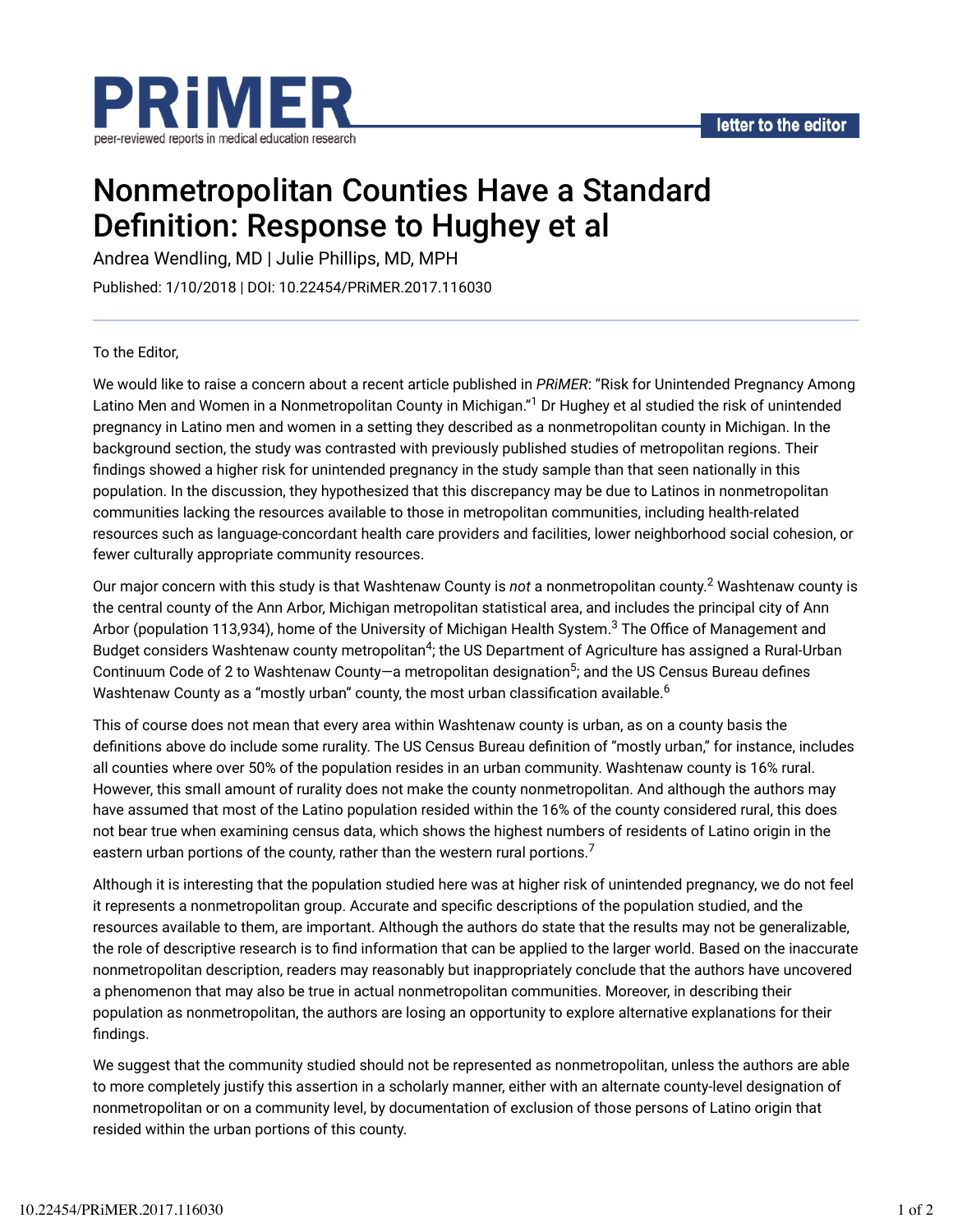

# Nonmetropolitan Counties Have a Standard Definition: Response to Hughey et al

Andrea Wendling, MD | Julie Phillips, MD, MPH

Published: 1/10/2018 | DOI: 10.22454/PRiMER.2017.116030

To the Editor,

We would like to raise a concern about a recent article published in *PRiMER*: "Risk for Unintended Pregnancy Among Latino Men and Women in a Nonmetropolitan County in Michigan."<sup>1</sup> Dr Hughey et al studied the risk of unintended pregnancy in Latino men and women in a setting they described as a nonmetropolitan county in Michigan. In the background section, the study was contrasted with previously published studies of metropolitan regions. Their findings showed a higher risk for unintended pregnancy in the study sample than that seen nationally in this population. In the discussion, they hypothesized that this discrepancy may be due to Latinos in nonmetropolitan communities lacking the resources available to those in metropolitan communities, including health-related resources such as language-concordant health care providers and facilities, lower neighborhood social cohesion, or fewer culturally appropriate community resources.

Our major concern with this study is that Washtenaw County is *not* a nonmetropolitan county.<sup>2</sup> Washtenaw county is the central county of the Ann Arbor, Michigan metropolitan statistical area, and includes the principal city of Ann Arbor (population 113,934), home of the University of Michigan Health System. $^3$  The Office of Management and Budget considers Washtenaw county metropolitan<sup>4</sup>; the US Department of Agriculture has assigned a Rural-Urban Continuum Code of 2 to Washtenaw County—a metropolitan designation<sup>5</sup>; and the US Census Bureau defines Washtenaw County as a "mostly urban" county, the most urban classification available. $^6$ 

This of course does not mean that every area within Washtenaw county is urban, as on a county basis the definitions above do include some rurality. The US Census Bureau definition of "mostly urban," for instance, includes all counties where over 50% of the population resides in an urban community. Washtenaw county is 16% rural. However, this small amount of rurality does not make the county nonmetropolitan. And although the authors may have assumed that most of the Latino population resided within the 16% of the county considered rural, this does not bear true when examining census data, which shows the highest numbers of residents of Latino origin in the eastern urban portions of the county, rather than the western rural portions. $^7$ 

Although it is interesting that the population studied here was at higher risk of unintended pregnancy, we do not feel it represents a nonmetropolitan group. Accurate and specific descriptions of the population studied, and the resources available to them, are important. Although the authors do state that the results may not be generalizable, the role of descriptive research is to find information that can be applied to the larger world. Based on the inaccurate nonmetropolitan description, readers may reasonably but inappropriately conclude that the authors have uncovered a phenomenon that may also be true in actual nonmetropolitan communities. Moreover, in describing their population as nonmetropolitan, the authors are losing an opportunity to explore alternative explanations for their findings.

We suggest that the community studied should not be represented as nonmetropolitan, unless the authors are able to more completely justify this assertion in a scholarly manner, either with an alternate county-level designation of nonmetropolitan or on a community level, by documentation of exclusion of those persons of Latino origin that resided within the urban portions of this county.